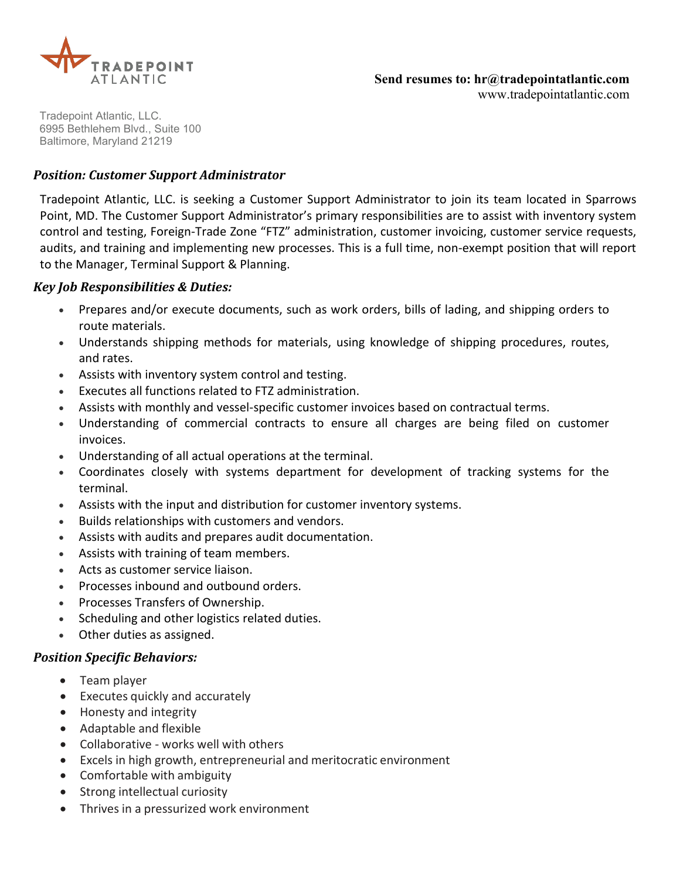

Tradepoint Atlantic, LLC. 6995 Bethlehem Blvd., Suite 100 Baltimore, Maryland 21219

#### *Position: Customer Support Administrator*

Tradepoint Atlantic, LLC. is seeking a Customer Support Administrator to join its team located in Sparrows Point, MD. The Customer Support Administrator's primary responsibilities are to assist with inventory system control and testing, Foreign-Trade Zone "FTZ" administration, customer invoicing, customer service requests, audits, and training and implementing new processes. This is a full time, non-exempt position that will report to the Manager, Terminal Support & Planning.

#### *Key Job Responsibilities & Duties:*

- Prepares and/or execute documents, such as work orders, bills of lading, and shipping orders to route materials.
- Understands shipping methods for materials, using knowledge of shipping procedures, routes, and rates.
- Assists with inventory system control and testing.
- Executes all functions related to FTZ administration.
- Assists with monthly and vessel-specific customer invoices based on contractual terms.
- Understanding of commercial contracts to ensure all charges are being filed on customer invoices.
- Understanding of all actual operations at the terminal.
- Coordinates closely with systems department for development of tracking systems for the terminal.
- Assists with the input and distribution for customer inventory systems.
- Builds relationships with customers and vendors.
- Assists with audits and prepares audit documentation.
- Assists with training of team members.
- Acts as customer service liaison.
- Processes inbound and outbound orders.
- Processes Transfers of Ownership.
- Scheduling and other logistics related duties.
- Other duties as assigned.

#### *Position Specific Behaviors:*

- Team player
- Executes quickly and accurately
- Honesty and integrity
- Adaptable and flexible
- Collaborative works well with others
- Excels in high growth, entrepreneurial and meritocratic environment
- Comfortable with ambiguity
- Strong intellectual curiosity
- Thrives in a pressurized work environment